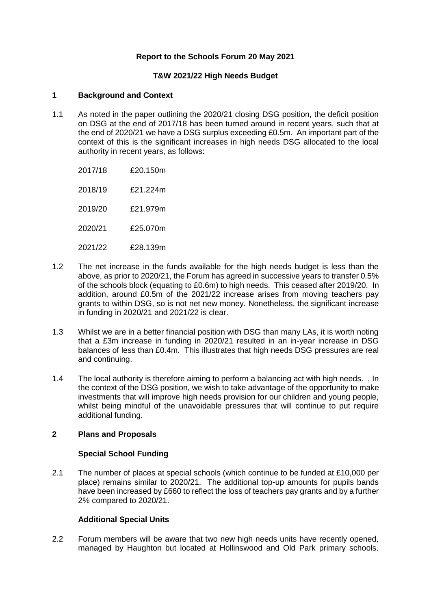# **Report to the Schools Forum 20 May 2021**

# **T&W 2021/22 High Needs Budget**

# **1 Background and Context**

- 1.1 As noted in the paper outlining the 2020/21 closing DSG position, the deficit position on DSG at the end of 2017/18 has been turned around in recent years, such that at the end of 2020/21 we have a DSG surplus exceeding £0.5m. An important part of the context of this is the significant increases in high needs DSG allocated to the local authority in recent years, as follows:
	- 2017/18 £20.150m

2018/19 £21.224m

2019/20 £21.979m

- 2020/21 £25.070m
- 2021/22 £28.139m
- 1.2 The net increase in the funds available for the high needs budget is less than the above, as prior to 2020/21, the Forum has agreed in successive years to transfer 0.5% of the schools block (equating to £0.6m) to high needs. This ceased after 2019/20. In addition, around £0.5m of the 2021/22 increase arises from moving teachers pay grants to within DSG, so is not net new money. Nonetheless, the significant increase in funding in 2020/21 and 2021/22 is clear.
- 1.3 Whilst we are in a better financial position with DSG than many LAs, it is worth noting that a £3m increase in funding in 2020/21 resulted in an in-year increase in DSG balances of less than £0.4m. This illustrates that high needs DSG pressures are real and continuing.
- 1.4 The local authority is therefore aiming to perform a balancing act with high needs. , In the context of the DSG position, we wish to take advantage of the opportunity to make investments that will improve high needs provision for our children and young people, whilst being mindful of the unavoidable pressures that will continue to put require additional funding.

### **2 Plans and Proposals**

#### **Special School Funding**

2.1 The number of places at special schools (which continue to be funded at £10,000 per place) remains similar to 2020/21. The additional top-up amounts for pupils bands have been increased by £660 to reflect the loss of teachers pay grants and by a further 2% compared to 2020/21.

# **Additional Special Units**

2.2 Forum members will be aware that two new high needs units have recently opened, managed by Haughton but located at Hollinswood and Old Park primary schools.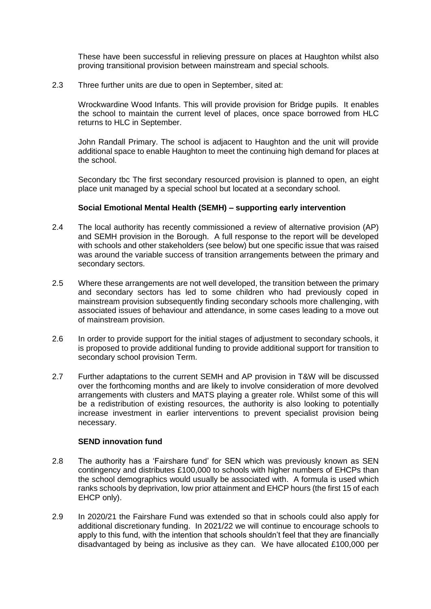These have been successful in relieving pressure on places at Haughton whilst also proving transitional provision between mainstream and special schools.

## 2.3 Three further units are due to open in September, sited at:

Wrockwardine Wood Infants. This will provide provision for Bridge pupils. It enables the school to maintain the current level of places, once space borrowed from HLC returns to HLC in September.

John Randall Primary. The school is adjacent to Haughton and the unit will provide additional space to enable Haughton to meet the continuing high demand for places at the school.

Secondary tbc The first secondary resourced provision is planned to open, an eight place unit managed by a special school but located at a secondary school.

## **Social Emotional Mental Health (SEMH) – supporting early intervention**

- 2.4 The local authority has recently commissioned a review of alternative provision (AP) and SEMH provision in the Borough. A full response to the report will be developed with schools and other stakeholders (see below) but one specific issue that was raised was around the variable success of transition arrangements between the primary and secondary sectors.
- 2.5 Where these arrangements are not well developed, the transition between the primary and secondary sectors has led to some children who had previously coped in mainstream provision subsequently finding secondary schools more challenging, with associated issues of behaviour and attendance, in some cases leading to a move out of mainstream provision.
- 2.6 In order to provide support for the initial stages of adjustment to secondary schools, it is proposed to provide additional funding to provide additional support for transition to secondary school provision Term.
- 2.7 Further adaptations to the current SEMH and AP provision in T&W will be discussed over the forthcoming months and are likely to involve consideration of more devolved arrangements with clusters and MATS playing a greater role. Whilst some of this will be a redistribution of existing resources, the authority is also looking to potentially increase investment in earlier interventions to prevent specialist provision being necessary.

## **SEND innovation fund**

- 2.8 The authority has a 'Fairshare fund' for SEN which was previously known as SEN contingency and distributes £100,000 to schools with higher numbers of EHCPs than the school demographics would usually be associated with. A formula is used which ranks schools by deprivation, low prior attainment and EHCP hours (the first 15 of each EHCP only).
- 2.9 In 2020/21 the Fairshare Fund was extended so that in schools could also apply for additional discretionary funding. In 2021/22 we will continue to encourage schools to apply to this fund, with the intention that schools shouldn't feel that they are financially disadvantaged by being as inclusive as they can. We have allocated £100,000 per